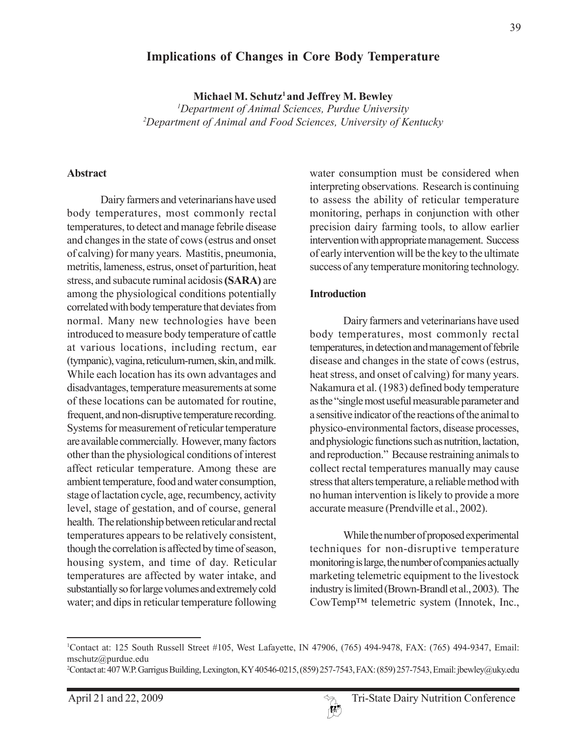## **Implications of Changes in Core Body Temperature**

**Michael M. Schutz1 and Jeffrey M. Bewley**

*1 Department of Animal Sciences, Purdue University 2 Department of Animal and Food Sciences, University of Kentucky*

#### **Abstract**

Dairy farmers and veterinarians have used body temperatures, most commonly rectal temperatures, to detect and manage febrile disease and changes in the state of cows (estrus and onset of calving) for many years. Mastitis, pneumonia, metritis, lameness, estrus, onset of parturition, heat stress, and subacute ruminal acidosis **(SARA)** are among the physiological conditions potentially correlated with body temperature that deviates from normal. Many new technologies have been introduced to measure body temperature of cattle at various locations, including rectum, ear (tympanic), vagina, reticulum-rumen, skin, and milk. While each location has its own advantages and disadvantages, temperature measurements at some of these locations can be automated for routine, frequent, and non-disruptive temperature recording. Systems for measurement of reticular temperature are available commercially. However, many factors other than the physiological conditions of interest affect reticular temperature. Among these are ambient temperature, food and water consumption, stage of lactation cycle, age, recumbency, activity level, stage of gestation, and of course, general health. The relationship between reticular and rectal temperatures appears to be relatively consistent, though the correlation is affected by time of season, housing system, and time of day. Reticular temperatures are affected by water intake, and substantially so for large volumes and extremely cold water; and dips in reticular temperature following

water consumption must be considered when interpreting observations. Research is continuing to assess the ability of reticular temperature monitoring, perhaps in conjunction with other precision dairy farming tools, to allow earlier intervention with appropriate management. Success of early intervention will be the key to the ultimate success of any temperature monitoring technology.

#### **Introduction**

Dairy farmers and veterinarians have used body temperatures, most commonly rectal temperatures, in detection and management of febrile disease and changes in the state of cows (estrus, heat stress, and onset of calving) for many years. Nakamura et al. (1983) defined body temperature as the "single most useful measurable parameter and a sensitive indicator of the reactions of the animal to physico-environmental factors, disease processes, and physiologic functions such as nutrition, lactation, and reproduction." Because restraining animals to collect rectal temperatures manually may cause stress that alters temperature, a reliable method with no human intervention is likely to provide a more accurate measure (Prendville et al., 2002).

While the number of proposed experimental techniques for non-disruptive temperature monitoring is large, the number of companies actually marketing telemetric equipment to the livestock industry is limited (Brown-Brandl et al., 2003). The CowTemp™ telemetric system (Innotek, Inc.,

 $\boldsymbol{W}$ 

<sup>1</sup> Contact at: 125 South Russell Street #105, West Lafayette, IN 47906, (765) 494-9478, FAX: (765) 494-9347, Email: mschutz@purdue.edu

<sup>2</sup> Contact at: 407 W.P. Garrigus Building, Lexington, KY 40546-0215, (859) 257-7543, FAX: (859) 257-7543, Email: jbewley@uky.edu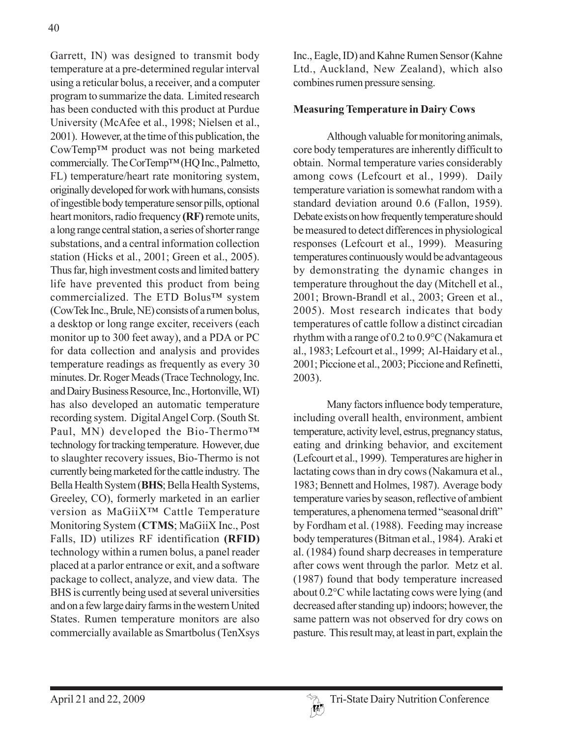Garrett, IN) was designed to transmit body temperature at a pre-determined regular interval using a reticular bolus, a receiver, and a computer program to summarize the data. Limited research has been conducted with this product at Purdue University (McAfee et al., 1998; Nielsen et al., 2001). However, at the time of this publication, the CowTemp™ product was not being marketed commercially. The CorTemp™ (HQ Inc., Palmetto, FL) temperature/heart rate monitoring system, originally developed for work with humans, consists of ingestible body temperature sensor pills, optional heart monitors, radio frequency **(RF)** remote units, a long range central station, a series of shorter range substations, and a central information collection station (Hicks et al., 2001; Green et al., 2005). Thus far, high investment costs and limited battery life have prevented this product from being commercialized. The ETD Bolus™ system (CowTek Inc., Brule, NE) consists of a rumen bolus, a desktop or long range exciter, receivers (each monitor up to 300 feet away), and a PDA or PC for data collection and analysis and provides temperature readings as frequently as every 30 minutes. Dr. Roger Meads (Trace Technology, Inc. and Dairy Business Resource, Inc., Hortonville, WI) has also developed an automatic temperature recording system. Digital Angel Corp. (South St. Paul, MN) developed the Bio-Thermo™ technology for tracking temperature. However, due to slaughter recovery issues, Bio-Thermo is not currently being marketed for the cattle industry. The Bella Health System (**BHS**; Bella Health Systems, Greeley, CO), formerly marketed in an earlier version as MaGiiX™ Cattle Temperature Monitoring System (**CTMS**; MaGiiX Inc., Post Falls, ID) utilizes RF identification **(RFID)** technology within a rumen bolus, a panel reader placed at a parlor entrance or exit, and a software package to collect, analyze, and view data. The BHS is currently being used at several universities and on a few large dairy farms in the western United States. Rumen temperature monitors are also commercially available as Smartbolus (TenXsys

Inc., Eagle, ID) and Kahne Rumen Sensor (Kahne Ltd., Auckland, New Zealand), which also combines rumen pressure sensing.

## **Measuring Temperature in Dairy Cows**

Although valuable for monitoring animals, core body temperatures are inherently difficult to obtain. Normal temperature varies considerably among cows (Lefcourt et al., 1999). Daily temperature variation is somewhat random with a standard deviation around 0.6 (Fallon, 1959). Debate exists on how frequently temperature should be measured to detect differences in physiological responses (Lefcourt et al., 1999). Measuring temperatures continuously would be advantageous by demonstrating the dynamic changes in temperature throughout the day (Mitchell et al., 2001; Brown-Brandl et al., 2003; Green et al., 2005). Most research indicates that body temperatures of cattle follow a distinct circadian rhythm with a range of 0.2 to 0.9°C (Nakamura et al., 1983; Lefcourt et al., 1999; Al-Haidary et al., 2001; Piccione et al., 2003; Piccione and Refinetti, 2003).

Many factors influence body temperature, including overall health, environment, ambient temperature, activity level, estrus, pregnancy status, eating and drinking behavior, and excitement (Lefcourt et al., 1999). Temperatures are higher in lactating cows than in dry cows (Nakamura et al., 1983; Bennett and Holmes, 1987). Average body temperature varies by season, reflective of ambient temperatures, a phenomena termed "seasonal drift" by Fordham et al. (1988). Feeding may increase body temperatures (Bitman et al., 1984). Araki et al. (1984) found sharp decreases in temperature after cows went through the parlor. Metz et al. (1987) found that body temperature increased about 0.2°C while lactating cows were lying (and decreased after standing up) indoors; however, the same pattern was not observed for dry cows on pasture. This result may, at least in part, explain the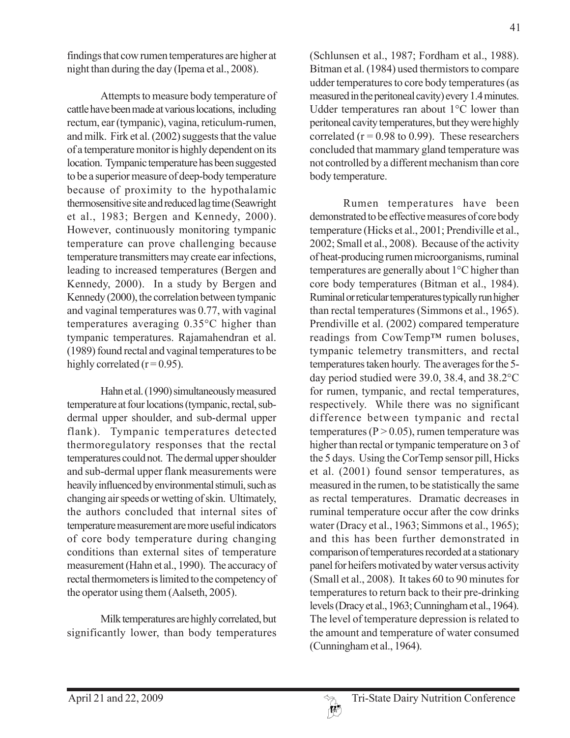findings that cow rumen temperatures are higher at night than during the day (Ipema et al., 2008).

Attempts to measure body temperature of cattle have been made at various locations, including rectum, ear (tympanic), vagina, reticulum-rumen, and milk. Firk et al. (2002) suggests that the value of a temperature monitor is highly dependent on its location. Tympanic temperature has been suggested to be a superior measure of deep-body temperature because of proximity to the hypothalamic thermosensitive site and reduced lag time (Seawright et al., 1983; Bergen and Kennedy, 2000). However, continuously monitoring tympanic temperature can prove challenging because temperature transmitters may create ear infections, leading to increased temperatures (Bergen and Kennedy, 2000). In a study by Bergen and Kennedy (2000), the correlation between tympanic and vaginal temperatures was 0.77, with vaginal temperatures averaging 0.35°C higher than tympanic temperatures. Rajamahendran et al. (1989) found rectal and vaginal temperatures to be highly correlated  $(r=0.95)$ .

Hahn et al. (1990) simultaneously measured temperature at four locations (tympanic, rectal, subdermal upper shoulder, and sub-dermal upper flank). Tympanic temperatures detected thermoregulatory responses that the rectal temperatures could not. The dermal upper shoulder and sub-dermal upper flank measurements were heavily influenced by environmental stimuli, such as changing air speeds or wetting of skin. Ultimately, the authors concluded that internal sites of temperature measurement are more useful indicators of core body temperature during changing conditions than external sites of temperature measurement (Hahn et al., 1990). The accuracy of rectal thermometers is limited to the competency of the operator using them (Aalseth, 2005).

Milk temperatures are highly correlated, but significantly lower, than body temperatures (Schlunsen et al., 1987; Fordham et al., 1988). Bitman et al. (1984) used thermistors to compare udder temperatures to core body temperatures (as measured in the peritoneal cavity) every 1.4 minutes. Udder temperatures ran about 1°C lower than

peritoneal cavity temperatures, but they were highly correlated ( $r = 0.98$  to 0.99). These researchers concluded that mammary gland temperature was not controlled by a different mechanism than core body temperature.

Rumen temperatures have been demonstrated to be effective measures of core body temperature (Hicks et al., 2001; Prendiville et al., 2002; Small et al., 2008). Because of the activity of heat-producing rumen microorganisms, ruminal temperatures are generally about 1°C higher than core body temperatures (Bitman et al., 1984). Ruminal or reticular temperatures typically run higher than rectal temperatures (Simmons et al., 1965). Prendiville et al. (2002) compared temperature readings from CowTemp™ rumen boluses, tympanic telemetry transmitters, and rectal temperatures taken hourly. The averages for the 5 day period studied were 39.0, 38.4, and 38.2°C for rumen, tympanic, and rectal temperatures, respectively. While there was no significant difference between tympanic and rectal temperatures ( $P > 0.05$ ), rumen temperature was higher than rectal or tympanic temperature on 3 of the 5 days. Using the CorTemp sensor pill, Hicks et al. (2001) found sensor temperatures, as measured in the rumen, to be statistically the same as rectal temperatures. Dramatic decreases in ruminal temperature occur after the cow drinks water (Dracy et al., 1963; Simmons et al., 1965); and this has been further demonstrated in comparison of temperatures recorded at a stationary panel for heifers motivated by water versus activity (Small et al., 2008). It takes 60 to 90 minutes for temperatures to return back to their pre-drinking levels (Dracy et al., 1963; Cunningham et al., 1964). The level of temperature depression is related to the amount and temperature of water consumed (Cunningham et al., 1964).

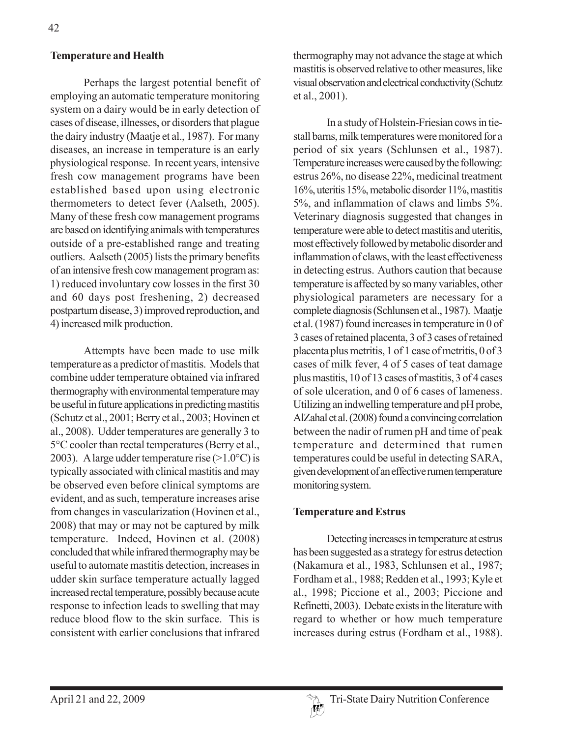## **Temperature and Health**

Perhaps the largest potential benefit of employing an automatic temperature monitoring system on a dairy would be in early detection of cases of disease, illnesses, or disorders that plague the dairy industry (Maatje et al., 1987). For many diseases, an increase in temperature is an early physiological response. In recent years, intensive fresh cow management programs have been established based upon using electronic thermometers to detect fever (Aalseth, 2005). Many of these fresh cow management programs are based on identifying animals with temperatures outside of a pre-established range and treating outliers. Aalseth (2005) lists the primary benefits of an intensive fresh cow management program as: 1) reduced involuntary cow losses in the first 30 and 60 days post freshening, 2) decreased postpartum disease, 3) improved reproduction, and 4) increased milk production.

Attempts have been made to use milk temperature as a predictor of mastitis. Models that combine udder temperature obtained via infrared thermography with environmental temperature may be useful in future applications in predicting mastitis (Schutz et al., 2001; Berry et al., 2003; Hovinen et al., 2008). Udder temperatures are generally 3 to 5°C cooler than rectal temperatures (Berry et al., 2003). A large udder temperature rise  $(>1.0°C)$  is typically associated with clinical mastitis and may be observed even before clinical symptoms are evident, and as such, temperature increases arise from changes in vascularization (Hovinen et al., 2008) that may or may not be captured by milk temperature. Indeed, Hovinen et al. (2008) concluded that while infrared thermography may be useful to automate mastitis detection, increases in udder skin surface temperature actually lagged increased rectal temperature, possibly because acute response to infection leads to swelling that may reduce blood flow to the skin surface. This is consistent with earlier conclusions that infrared

thermography may not advance the stage at which mastitis is observed relative to other measures, like visual observation and electrical conductivity (Schutz et al., 2001).

In a study of Holstein-Friesian cows in tiestall barns, milk temperatures were monitored for a period of six years (Schlunsen et al., 1987). Temperature increases were caused by the following: estrus 26%, no disease 22%, medicinal treatment 16%, uteritis 15%, metabolic disorder 11%, mastitis 5%, and inflammation of claws and limbs 5%. Veterinary diagnosis suggested that changes in temperature were able to detect mastitis and uteritis, most effectively followed by metabolic disorder and inflammation of claws, with the least effectiveness in detecting estrus. Authors caution that because temperature is affected by so many variables, other physiological parameters are necessary for a complete diagnosis (Schlunsen et al., 1987). Maatje et al. (1987) found increases in temperature in 0 of 3 cases of retained placenta, 3 of 3 cases of retained placenta plus metritis, 1 of 1 case of metritis, 0 of 3 cases of milk fever, 4 of 5 cases of teat damage plus mastitis, 10 of 13 cases of mastitis, 3 of 4 cases of sole ulceration, and 0 of 6 cases of lameness. Utilizing an indwelling temperature and pH probe, AlZahal et al. (2008) found a convincing correlation between the nadir of rumen pH and time of peak temperature and determined that rumen temperatures could be useful in detecting SARA, given development of an effective rumen temperature monitoring system.

### **Temperature and Estrus**

Detecting increases in temperature at estrus has been suggested as a strategy for estrus detection (Nakamura et al., 1983, Schlunsen et al., 1987; Fordham et al., 1988; Redden et al., 1993; Kyle et al., 1998; Piccione et al., 2003; Piccione and Refinetti, 2003). Debate exists in the literature with regard to whether or how much temperature increases during estrus (Fordham et al., 1988).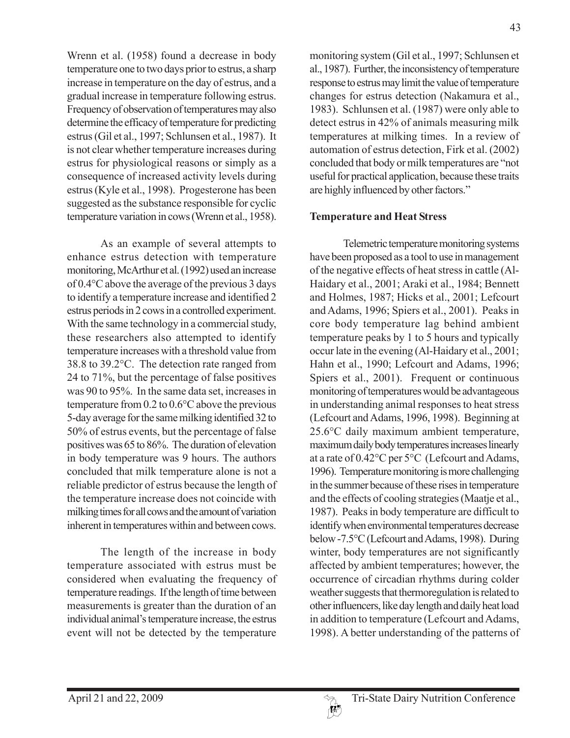Wrenn et al. (1958) found a decrease in body temperature one to two days prior to estrus, a sharp increase in temperature on the day of estrus, and a gradual increase in temperature following estrus. Frequency of observation of temperatures may also determine the efficacy of temperature for predicting estrus (Gil et al., 1997; Schlunsen et al., 1987). It is not clear whether temperature increases during estrus for physiological reasons or simply as a consequence of increased activity levels during estrus (Kyle et al., 1998). Progesterone has been suggested as the substance responsible for cyclic temperature variation in cows (Wrenn et al., 1958).

As an example of several attempts to enhance estrus detection with temperature monitoring, McArthur et al. (1992) used an increase of 0.4°C above the average of the previous 3 days to identify a temperature increase and identified 2 estrus periods in 2 cows in a controlled experiment. With the same technology in a commercial study, these researchers also attempted to identify temperature increases with a threshold value from 38.8 to 39.2°C. The detection rate ranged from 24 to 71%, but the percentage of false positives was 90 to 95%. In the same data set, increases in temperature from 0.2 to 0.6°C above the previous 5-day average for the same milking identified 32 to 50% of estrus events, but the percentage of false positives was 65 to 86%. The duration of elevation in body temperature was 9 hours. The authors concluded that milk temperature alone is not a reliable predictor of estrus because the length of the temperature increase does not coincide with milking times for all cows and the amount of variation inherent in temperatures within and between cows.

The length of the increase in body temperature associated with estrus must be considered when evaluating the frequency of temperature readings. If the length of time between measurements is greater than the duration of an individual animal's temperature increase, the estrus event will not be detected by the temperature

monitoring system (Gil et al., 1997; Schlunsen et al., 1987). Further, the inconsistency of temperature response to estrus may limit the value of temperature changes for estrus detection (Nakamura et al., 1983). Schlunsen et al. (1987) were only able to detect estrus in 42% of animals measuring milk temperatures at milking times. In a review of automation of estrus detection, Firk et al. (2002) concluded that body or milk temperatures are "not useful for practical application, because these traits are highly influenced by other factors."

## **Temperature and Heat Stress**

Telemetric temperature monitoring systems have been proposed as a tool to use in management of the negative effects of heat stress in cattle (Al-Haidary et al., 2001; Araki et al., 1984; Bennett and Holmes, 1987; Hicks et al., 2001; Lefcourt and Adams, 1996; Spiers et al., 2001). Peaks in core body temperature lag behind ambient temperature peaks by 1 to 5 hours and typically occur late in the evening (Al-Haidary et al., 2001; Hahn et al., 1990; Lefcourt and Adams, 1996; Spiers et al., 2001). Frequent or continuous monitoring of temperatures would be advantageous in understanding animal responses to heat stress (Lefcourt and Adams, 1996, 1998). Beginning at 25.6°C daily maximum ambient temperature, maximum daily body temperatures increases linearly at a rate of 0.42°C per 5°C (Lefcourt and Adams, 1996). Temperature monitoring is more challenging in the summer because of these rises in temperature and the effects of cooling strategies (Maatje et al., 1987). Peaks in body temperature are difficult to identify when environmental temperatures decrease below -7.5°C (Lefcourt and Adams, 1998). During winter, body temperatures are not significantly affected by ambient temperatures; however, the occurrence of circadian rhythms during colder weather suggests that thermoregulation is related to other influencers, like day length and daily heat load in addition to temperature (Lefcourt and Adams, 1998). A better understanding of the patterns of

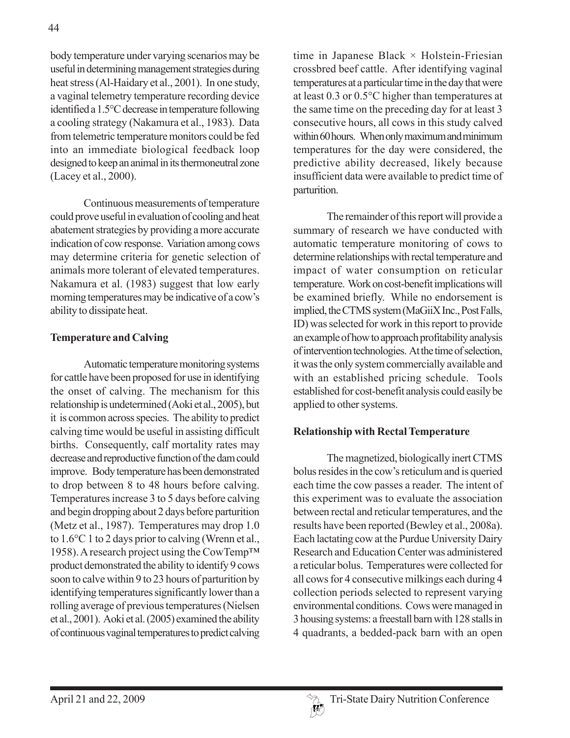body temperature under varying scenarios may be useful in determining management strategies during heat stress (Al-Haidary et al., 2001). In one study, a vaginal telemetry temperature recording device identified a 1.5°C decrease in temperature following a cooling strategy (Nakamura et al., 1983). Data from telemetric temperature monitors could be fed into an immediate biological feedback loop designed to keep an animal in its thermoneutral zone (Lacey et al., 2000).

Continuous measurements of temperature could prove useful in evaluation of cooling and heat abatement strategies by providing a more accurate indication of cow response. Variation among cows may determine criteria for genetic selection of animals more tolerant of elevated temperatures. Nakamura et al. (1983) suggest that low early morning temperatures may be indicative of a cow's ability to dissipate heat.

# **Temperature and Calving**

Automatic temperature monitoring systems for cattle have been proposed for use in identifying the onset of calving. The mechanism for this relationship is undetermined (Aoki et al., 2005), but it is common across species. The ability to predict calving time would be useful in assisting difficult births. Consequently, calf mortality rates may decrease and reproductive function of the dam could improve. Body temperature has been demonstrated to drop between 8 to 48 hours before calving. Temperatures increase 3 to 5 days before calving and begin dropping about 2 days before parturition (Metz et al., 1987). Temperatures may drop 1.0 to 1.6°C 1 to 2 days prior to calving (Wrenn et al., 1958). A research project using the CowTemp™ product demonstrated the ability to identify 9 cows soon to calve within 9 to 23 hours of parturition by identifying temperatures significantly lower than a rolling average of previous temperatures (Nielsen et al., 2001). Aoki et al. (2005) examined the ability of continuous vaginal temperatures to predict calving

time in Japanese Black  $\times$  Holstein-Friesian crossbred beef cattle. After identifying vaginal temperatures at a particular time in the day that were at least 0.3 or 0.5°C higher than temperatures at the same time on the preceding day for at least 3 consecutive hours, all cows in this study calved within 60 hours. When only maximum and minimum temperatures for the day were considered, the predictive ability decreased, likely because insufficient data were available to predict time of parturition.

The remainder of this report will provide a summary of research we have conducted with automatic temperature monitoring of cows to determine relationships with rectal temperature and impact of water consumption on reticular temperature. Work on cost-benefit implications will be examined briefly. While no endorsement is implied, the CTMS system (MaGiiX Inc., Post Falls, ID) was selected for work in this report to provide an example of how to approach profitability analysis of intervention technologies. At the time of selection, it was the only system commercially available and with an established pricing schedule. Tools established for cost-benefit analysis could easily be applied to other systems.

# **Relationship with Rectal Temperature**

The magnetized, biologically inert CTMS bolus resides in the cow's reticulum and is queried each time the cow passes a reader. The intent of this experiment was to evaluate the association between rectal and reticular temperatures, and the results have been reported (Bewley et al., 2008a). Each lactating cow at the Purdue University Dairy Research and Education Center was administered a reticular bolus. Temperatures were collected for all cows for 4 consecutive milkings each during 4 collection periods selected to represent varying environmental conditions. Cows were managed in 3 housing systems: a freestall barn with 128 stalls in 4 quadrants, a bedded-pack barn with an open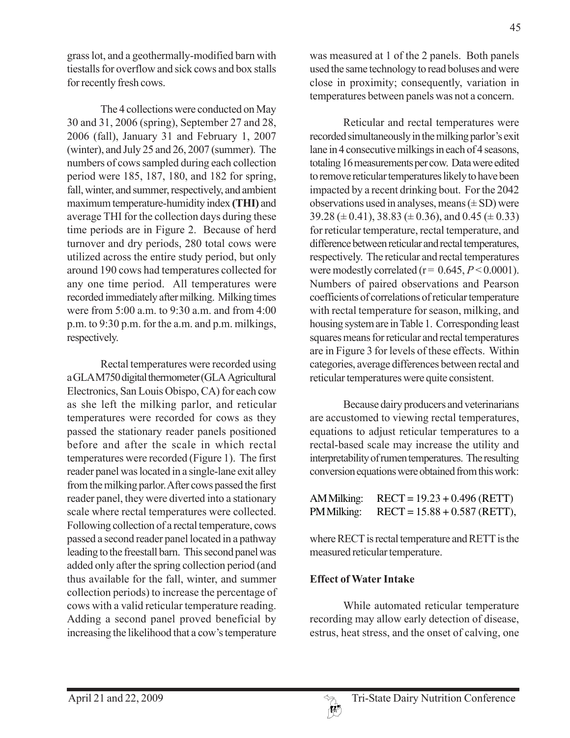grass lot, and a geothermally-modified barn with tiestalls for overflow and sick cows and box stalls for recently fresh cows.

The 4 collections were conducted on May 30 and 31, 2006 (spring), September 27 and 28, 2006 (fall), January 31 and February 1, 2007 (winter), and July 25 and 26, 2007 (summer). The numbers of cows sampled during each collection period were 185, 187, 180, and 182 for spring, fall, winter, and summer, respectively, and ambient maximum temperature-humidity index **(THI)** and average THI for the collection days during these time periods are in Figure 2. Because of herd turnover and dry periods, 280 total cows were utilized across the entire study period, but only around 190 cows had temperatures collected for any one time period. All temperatures were recorded immediately after milking. Milking times were from 5:00 a.m. to 9:30 a.m. and from 4:00 p.m. to 9:30 p.m. for the a.m. and p.m. milkings, respectively.

Rectal temperatures were recorded using a GLA M750 digital thermometer (GLA Agricultural Electronics, San Louis Obispo, CA) for each cow as she left the milking parlor, and reticular temperatures were recorded for cows as they passed the stationary reader panels positioned before and after the scale in which rectal temperatures were recorded (Figure 1). The first reader panel was located in a single-lane exit alley from the milking parlor. After cows passed the first reader panel, they were diverted into a stationary scale where rectal temperatures were collected. Following collection of a rectal temperature, cows passed a second reader panel located in a pathway leading to the freestall barn. This second panel was added only after the spring collection period (and thus available for the fall, winter, and summer collection periods) to increase the percentage of cows with a valid reticular temperature reading. Adding a second panel proved beneficial by increasing the likelihood that a cow's temperature

was measured at 1 of the 2 panels. Both panels used the same technology to read boluses and were close in proximity; consequently, variation in temperatures between panels was not a concern.

Reticular and rectal temperatures were recorded simultaneously in the milking parlor's exit lane in 4 consecutive milkings in each of 4 seasons, totaling 16 measurements per cow. Data were edited to remove reticular temperatures likely to have been impacted by a recent drinking bout. For the 2042 observations used in analyses, means  $(\pm SD)$  were  $39.28 (\pm 0.41), 38.83 (\pm 0.36),$  and  $0.45 (\pm 0.33)$ for reticular temperature, rectal temperature, and difference between reticular and rectal temperatures, respectively. The reticular and rectal temperatures were modestly correlated ( $r = 0.645, P \le 0.0001$ ). Numbers of paired observations and Pearson coefficients of correlations of reticular temperature with rectal temperature for season, milking, and housing system are in Table 1. Corresponding least squares means for reticular and rectal temperatures are in Figure 3 for levels of these effects. Within categories, average differences between rectal and reticular temperatures were quite consistent.

Because dairy producers and veterinarians are accustomed to viewing rectal temperatures, equations to adjust reticular temperatures to a rectal-based scale may increase the utility and interpretability of rumen temperatures. The resulting conversion equations were obtained from this work:

| AM Milking: | $RECT = 19.23 + 0.496$ (RETT)  |
|-------------|--------------------------------|
| PM Milking: | $RECT = 15.88 + 0.587$ (RETT), |

where RECT is rectal temperature and RETT is the measured reticular temperature.

# **Effect of Water Intake**

While automated reticular temperature recording may allow early detection of disease, estrus, heat stress, and the onset of calving, one

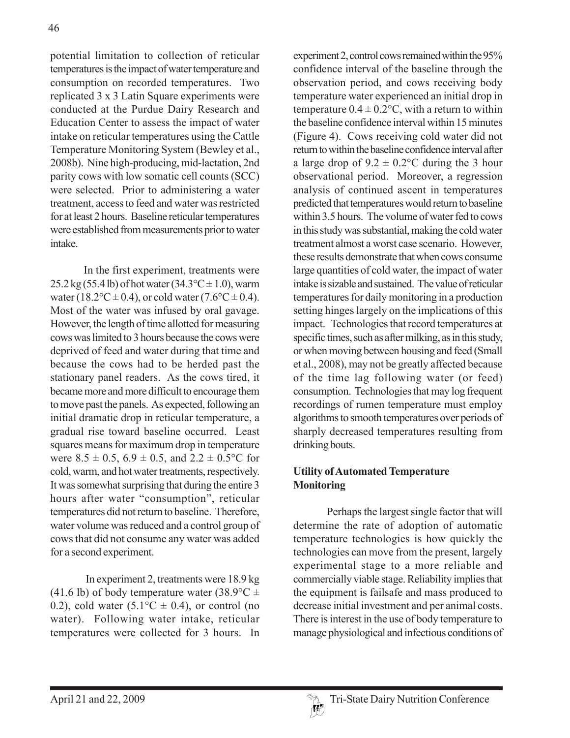potential limitation to collection of reticular temperatures is the impact of water temperature and consumption on recorded temperatures. Two replicated 3 x 3 Latin Square experiments were conducted at the Purdue Dairy Research and Education Center to assess the impact of water intake on reticular temperatures using the Cattle Temperature Monitoring System (Bewley et al., 2008b). Nine high-producing, mid-lactation, 2nd parity cows with low somatic cell counts (SCC) were selected. Prior to administering a water treatment, access to feed and water was restricted for at least 2 hours. Baseline reticular temperatures were established from measurements prior to water intake.

In the first experiment, treatments were  $25.2 \text{ kg} (55.4 \text{ lb})$  of hot water  $(34.3 \text{°C} \pm 1.0)$ , warm water (18.2°C  $\pm$  0.4), or cold water (7.6°C  $\pm$  0.4). Most of the water was infused by oral gavage. However, the length of time allotted for measuring cows was limited to 3 hours because the cows were deprived of feed and water during that time and because the cows had to be herded past the stationary panel readers. As the cows tired, it became more and more difficult to encourage them to move past the panels. As expected, following an initial dramatic drop in reticular temperature, a gradual rise toward baseline occurred. Least squares means for maximum drop in temperature were  $8.5 \pm 0.5$ ,  $6.9 \pm 0.5$ , and  $2.2 \pm 0.5$ °C for cold, warm, and hot water treatments, respectively. It was somewhat surprising that during the entire 3 hours after water "consumption", reticular temperatures did not return to baseline. Therefore, water volume was reduced and a control group of cows that did not consume any water was added for a second experiment.

 In experiment 2, treatments were 18.9 kg (41.6 lb) of body temperature water (38.9 $\degree$ C  $\pm$ 0.2), cold water  $(5.1^{\circ}C \pm 0.4)$ , or control (no water). Following water intake, reticular temperatures were collected for 3 hours. In

experiment 2, control cows remained within the 95% confidence interval of the baseline through the observation period, and cows receiving body temperature water experienced an initial drop in temperature  $0.4 \pm 0.2$ °C, with a return to within the baseline confidence interval within 15 minutes (Figure 4). Cows receiving cold water did not return to within the baseline confidence interval after a large drop of  $9.2 \pm 0.2$ °C during the 3 hour observational period. Moreover, a regression analysis of continued ascent in temperatures predicted that temperatures would return to baseline within 3.5 hours. The volume of water fed to cows in this study was substantial, making the cold water treatment almost a worst case scenario. However, these results demonstrate that when cows consume large quantities of cold water, the impact of water intake is sizable and sustained. The value of reticular temperatures for daily monitoring in a production setting hinges largely on the implications of this impact. Technologies that record temperatures at specific times, such as after milking, as in this study, or when moving between housing and feed (Small et al., 2008), may not be greatly affected because of the time lag following water (or feed) consumption. Technologies that may log frequent recordings of rumen temperature must employ algorithms to smooth temperatures over periods of sharply decreased temperatures resulting from drinking bouts.

# **Utility of Automated Temperature Monitoring**

Perhaps the largest single factor that will determine the rate of adoption of automatic temperature technologies is how quickly the technologies can move from the present, largely experimental stage to a more reliable and commercially viable stage. Reliability implies that the equipment is failsafe and mass produced to decrease initial investment and per animal costs. There is interest in the use of body temperature to manage physiological and infectious conditions of

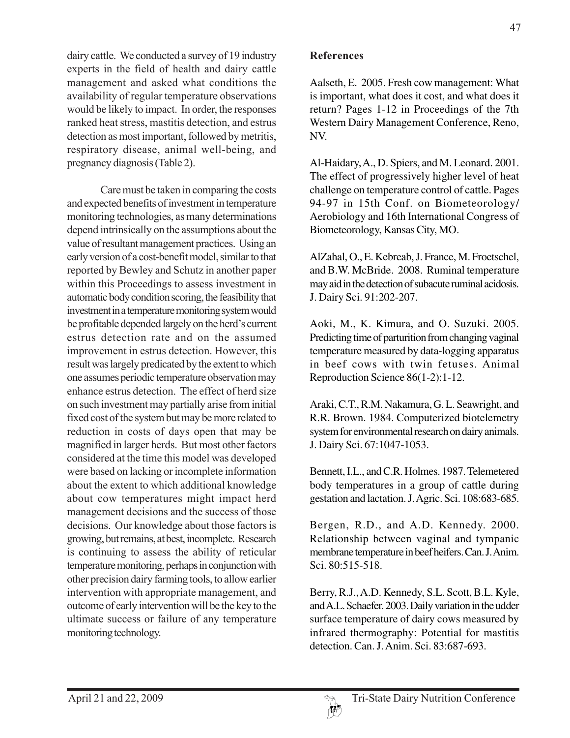dairy cattle. We conducted a survey of 19 industry experts in the field of health and dairy cattle management and asked what conditions the availability of regular temperature observations would be likely to impact. In order, the responses ranked heat stress, mastitis detection, and estrus detection as most important, followed by metritis, respiratory disease, animal well-being, and pregnancy diagnosis (Table 2).

Care must be taken in comparing the costs and expected benefits of investment in temperature monitoring technologies, as many determinations depend intrinsically on the assumptions about the value of resultant management practices. Using an early version of a cost-benefit model, similar to that reported by Bewley and Schutz in another paper within this Proceedings to assess investment in automatic body condition scoring, the feasibility that investment in a temperature monitoring system would be profitable depended largely on the herd's current estrus detection rate and on the assumed improvement in estrus detection. However, this result was largely predicated by the extent to which one assumes periodic temperature observation may enhance estrus detection. The effect of herd size on such investment may partially arise from initial fixed cost of the system but may be more related to reduction in costs of days open that may be magnified in larger herds. But most other factors considered at the time this model was developed were based on lacking or incomplete information about the extent to which additional knowledge about cow temperatures might impact herd management decisions and the success of those decisions. Our knowledge about those factors is growing, but remains, at best, incomplete. Research is continuing to assess the ability of reticular temperature monitoring, perhaps in conjunction with other precision dairy farming tools, to allow earlier intervention with appropriate management, and outcome of early intervention will be the key to the ultimate success or failure of any temperature monitoring technology.

## **References**

Aalseth, E. 2005. Fresh cow management: What is important, what does it cost, and what does it return? Pages 1-12 in Proceedings of the 7th Western Dairy Management Conference, Reno, NV.

Al-Haidary, A., D. Spiers, and M. Leonard. 2001. The effect of progressively higher level of heat challenge on temperature control of cattle. Pages 94-97 in 15th Conf. on Biometeorology/ Aerobiology and 16th International Congress of Biometeorology, Kansas City, MO.

AlZahal, O., E. Kebreab, J. France, M. Froetschel, and B.W. McBride. 2008. Ruminal temperature may aid in the detection of subacute ruminal acidosis. J. Dairy Sci. 91:202-207.

Aoki, M., K. Kimura, and O. Suzuki. 2005. Predicting time of parturition from changing vaginal temperature measured by data-logging apparatus in beef cows with twin fetuses. Animal Reproduction Science 86(1-2):1-12.

Araki, C.T., R.M. Nakamura, G. L. Seawright, and R.R. Brown. 1984. Computerized biotelemetry system for environmental research on dairy animals. J. Dairy Sci. 67:1047-1053.

Bennett, I.L., and C.R. Holmes. 1987. Telemetered body temperatures in a group of cattle during gestation and lactation. J. Agric. Sci. 108:683-685.

Bergen, R.D., and A.D. Kennedy. 2000. Relationship between vaginal and tympanic membrane temperature in beef heifers. Can. J. Anim. Sci. 80:515-518.

Berry, R.J., A.D. Kennedy, S.L. Scott, B.L. Kyle, and A.L. Schaefer. 2003. Daily variation in the udder surface temperature of dairy cows measured by infrared thermography: Potential for mastitis detection. Can. J. Anim. Sci. 83:687-693.

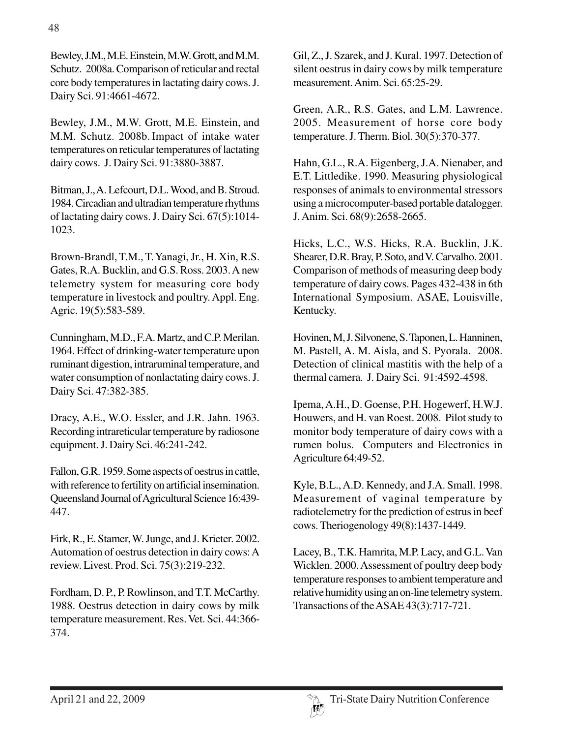Bewley, J.M., M.E. Einstein, M.W. Grott, and M.M. Schutz. 2008a. Comparison of reticular and rectal core body temperatures in lactating dairy cows. J. Dairy Sci. 91:4661-4672.

Bewley, J.M., M.W. Grott, M.E. Einstein, and M.M. Schutz. 2008b.Impact of intake water temperatures on reticular temperatures of lactating dairy cows. J. Dairy Sci. 91:3880-3887.

Bitman, J., A. Lefcourt, D.L. Wood, and B. Stroud. 1984. Circadian and ultradian temperature rhythms of lactating dairy cows. J. Dairy Sci. 67(5):1014- 1023.

Brown-Brandl, T.M., T. Yanagi, Jr., H. Xin, R.S. Gates, R.A. Bucklin, and G.S. Ross. 2003. A new telemetry system for measuring core body temperature in livestock and poultry. Appl. Eng. Agric. 19(5):583-589.

Cunningham, M.D., F.A. Martz, and C.P. Merilan. 1964. Effect of drinking-water temperature upon ruminant digestion, intraruminal temperature, and water consumption of nonlactating dairy cows. J. Dairy Sci. 47:382-385.

Dracy, A.E., W.O. Essler, and J.R. Jahn. 1963. Recording intrareticular temperature by radiosone equipment. J. Dairy Sci. 46:241-242.

Fallon, G.R. 1959. Some aspects of oestrus in cattle, with reference to fertility on artificial insemination. Queensland Journal of Agricultural Science 16:439- 447.

Firk, R., E. Stamer, W. Junge, and J. Krieter. 2002. Automation of oestrus detection in dairy cows: A review. Livest. Prod. Sci. 75(3):219-232.

Fordham, D. P., P. Rowlinson, and T.T. McCarthy. 1988. Oestrus detection in dairy cows by milk temperature measurement. Res. Vet. Sci. 44:366- 374.

Gil, Z., J. Szarek, and J. Kural. 1997. Detection of silent oestrus in dairy cows by milk temperature measurement. Anim. Sci. 65:25-29.

Green, A.R., R.S. Gates, and L.M. Lawrence. 2005. Measurement of horse core body temperature. J. Therm. Biol. 30(5):370-377.

Hahn, G.L., R.A. Eigenberg, J.A. Nienaber, and E.T. Littledike. 1990. Measuring physiological responses of animals to environmental stressors using a microcomputer-based portable datalogger. J. Anim. Sci. 68(9):2658-2665.

Hicks, L.C., W.S. Hicks, R.A. Bucklin, J.K. Shearer, D.R. Bray, P. Soto, and V. Carvalho. 2001. Comparison of methods of measuring deep body temperature of dairy cows. Pages 432-438 in 6th International Symposium. ASAE, Louisville, Kentucky.

Hovinen, M, J. Silvonene, S. Taponen, L. Hanninen, M. Pastell, A. M. Aisla, and S. Pyorala. 2008. Detection of clinical mastitis with the help of a thermal camera. J. Dairy Sci. 91:4592-4598.

Ipema, A.H., D. Goense, P.H. Hogewerf, H.W.J. Houwers, and H. van Roest. 2008. Pilot study to monitor body temperature of dairy cows with a rumen bolus. Computers and Electronics in Agriculture 64:49-52.

Kyle, B.L., A.D. Kennedy, and J.A. Small. 1998. Measurement of vaginal temperature by radiotelemetry for the prediction of estrus in beef cows. Theriogenology 49(8):1437-1449.

Lacey, B., T.K. Hamrita, M.P. Lacy, and G.L. Van Wicklen. 2000. Assessment of poultry deep body temperature responses to ambient temperature and relative humidity using an on-line telemetry system. Transactions of the ASAE 43(3):717-721.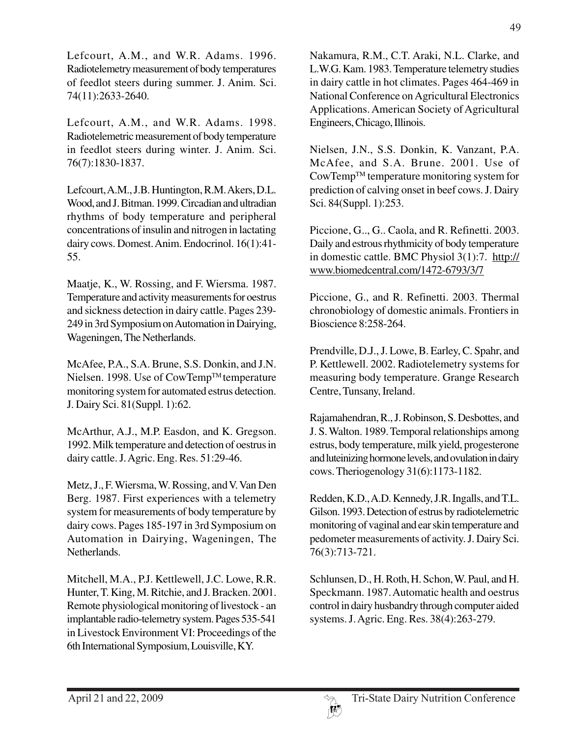Lefcourt, A.M., and W.R. Adams. 1996. Radiotelemetry measurement of body temperatures of feedlot steers during summer. J. Anim. Sci. 74(11):2633-2640.

Lefcourt, A.M., and W.R. Adams. 1998. Radiotelemetric measurement of body temperature in feedlot steers during winter. J. Anim. Sci. 76(7):1830-1837.

Lefcourt, A.M., J.B. Huntington, R.M. Akers, D.L. Wood, and J. Bitman. 1999. Circadian and ultradian rhythms of body temperature and peripheral concentrations of insulin and nitrogen in lactating dairy cows. Domest. Anim. Endocrinol. 16(1):41- 55.

Maatje, K., W. Rossing, and F. Wiersma. 1987. Temperature and activity measurements for oestrus and sickness detection in dairy cattle. Pages 239- 249 in 3rd Symposium on Automation in Dairying, Wageningen, The Netherlands.

McAfee, P.A., S.A. Brune, S.S. Donkin, and J.N. Nielsen. 1998. Use of CowTemp™ temperature monitoring system for automated estrus detection. J. Dairy Sci. 81(Suppl. 1):62.

McArthur, A.J., M.P. Easdon, and K. Gregson. 1992. Milk temperature and detection of oestrus in dairy cattle. J. Agric. Eng. Res. 51:29-46.

Metz, J., F. Wiersma, W. Rossing, and V. Van Den Berg. 1987. First experiences with a telemetry system for measurements of body temperature by dairy cows. Pages 185-197 in 3rd Symposium on Automation in Dairying, Wageningen, The Netherlands.

Mitchell, M.A., P.J. Kettlewell, J.C. Lowe, R.R. Hunter, T. King, M. Ritchie, and J. Bracken. 2001. Remote physiological monitoring of livestock - an implantable radio-telemetry system. Pages 535-541 in Livestock Environment VI: Proceedings of the 6th International Symposium, Louisville, KY.

Nakamura, R.M., C.T. Araki, N.L. Clarke, and L.W.G. Kam. 1983. Temperature telemetry studies in dairy cattle in hot climates. Pages 464-469 in National Conference on Agricultural Electronics Applications. American Society of Agricultural Engineers, Chicago, Illinois.

Nielsen, J.N., S.S. Donkin, K. Vanzant, P.A. McAfee, and S.A. Brune. 2001. Use of CowTempTM temperature monitoring system for prediction of calving onset in beef cows. J. Dairy Sci. 84(Suppl. 1):253.

Piccione, G.., G.. Caola, and R. Refinetti. 2003. Daily and estrous rhythmicity of body temperature in domestic cattle. BMC Physiol 3(1):7. http:// www.biomedcentral.com/1472-6793/3/7

Piccione, G., and R. Refinetti. 2003. Thermal chronobiology of domestic animals. Frontiers in Bioscience 8:258-264.

Prendville, D.J., J. Lowe, B. Earley, C. Spahr, and P. Kettlewell. 2002. Radiotelemetry systems for measuring body temperature. Grange Research Centre, Tunsany, Ireland.

Rajamahendran, R., J. Robinson, S. Desbottes, and J. S. Walton. 1989. Temporal relationships among estrus, body temperature, milk yield, progesterone and luteinizing hormone levels, and ovulation in dairy cows. Theriogenology 31(6):1173-1182.

Redden, K.D., A.D. Kennedy, J.R. Ingalls, and T.L. Gilson. 1993. Detection of estrus by radiotelemetric monitoring of vaginal and ear skin temperature and pedometer measurements of activity. J. Dairy Sci. 76(3):713-721.

Schlunsen, D., H. Roth, H. Schon, W. Paul, and H. Speckmann. 1987. Automatic health and oestrus control in dairy husbandry through computer aided systems. J. Agric. Eng. Res. 38(4):263-279.

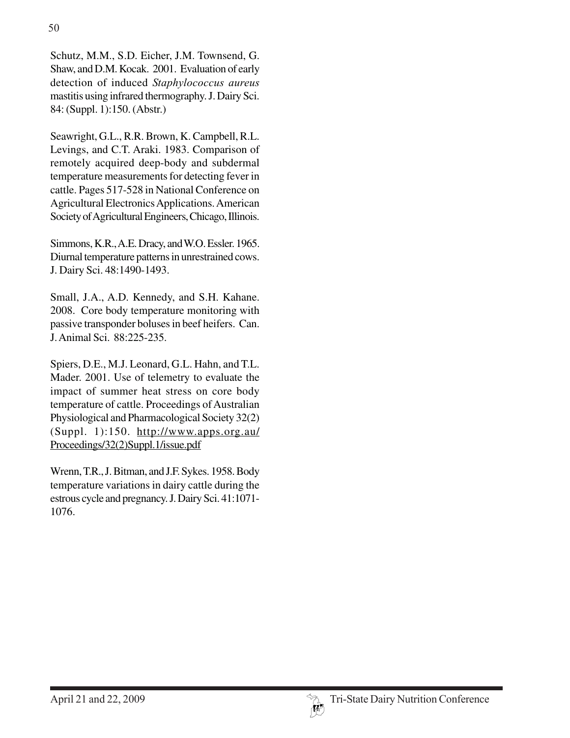Schutz, M.M., S.D. Eicher, J.M. Townsend, G. Shaw, and D.M. Kocak. 2001. Evaluation of early detection of induced *Staphylococcus aureus* mastitis using infrared thermography. J. Dairy Sci. 84: (Suppl. 1):150. (Abstr.)

Seawright, G.L., R.R. Brown, K. Campbell, R.L. Levings, and C.T. Araki. 1983. Comparison of remotely acquired deep-body and subdermal temperature measurements for detecting fever in cattle. Pages 517-528 in National Conference on Agricultural Electronics Applications. American Society of Agricultural Engineers, Chicago, Illinois.

Simmons, K.R., A.E. Dracy, and W.O. Essler. 1965. Diurnal temperature patterns in unrestrained cows. J. Dairy Sci. 48:1490-1493.

Small, J.A., A.D. Kennedy, and S.H. Kahane. 2008. Core body temperature monitoring with passive transponder boluses in beef heifers. Can. J. Animal Sci. 88:225-235.

Spiers, D.E., M.J. Leonard, G.L. Hahn, and T.L. Mader. 2001. Use of telemetry to evaluate the impact of summer heat stress on core body temperature of cattle. Proceedings of Australian Physiological and Pharmacological Society 32(2) (Suppl. 1):150. http://www.apps.org.au/ Proceedings/32(2)Suppl.1/issue.pdf

Wrenn, T.R., J. Bitman, and J.F. Sykes. 1958. Body temperature variations in dairy cattle during the estrous cycle and pregnancy. J. Dairy Sci. 41:1071- 1076.

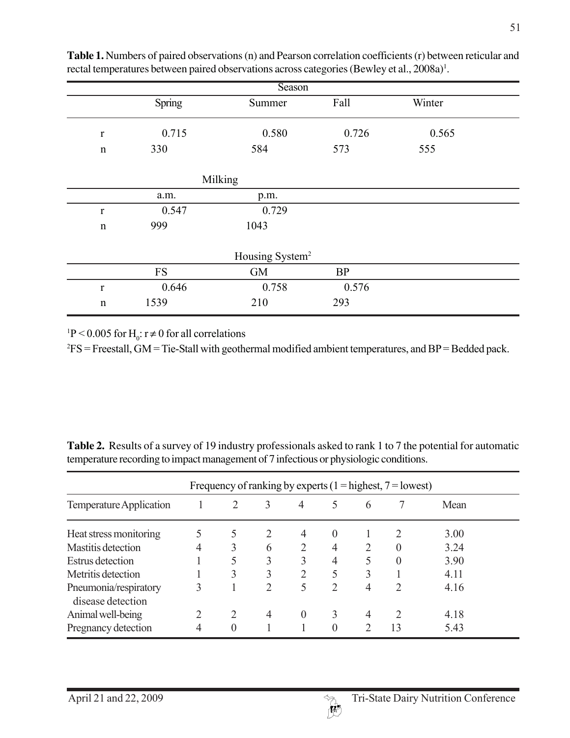| Season                      |            |           |          |        |  |  |  |  |  |  |
|-----------------------------|------------|-----------|----------|--------|--|--|--|--|--|--|
|                             | Spring     | Summer    | Fall     | Winter |  |  |  |  |  |  |
| $\mathbf r$                 | 0.715      | 0.580     | 0.726    | 0.565  |  |  |  |  |  |  |
| $\mathbf n$                 | 330        | 584       | 573      | 555    |  |  |  |  |  |  |
|                             | Milking    |           |          |        |  |  |  |  |  |  |
|                             | a.m.       | p.m.      |          |        |  |  |  |  |  |  |
| $\mathbf r$                 | 0.547      | 0.729     |          |        |  |  |  |  |  |  |
| $\mathbf n$                 | 999        | 1043      |          |        |  |  |  |  |  |  |
| Housing System <sup>2</sup> |            |           |          |        |  |  |  |  |  |  |
|                             | ${\rm FS}$ | <b>GM</b> | $\rm BP$ |        |  |  |  |  |  |  |
| $\mathbf{r}$                | 0.646      | 0.758     | 0.576    |        |  |  |  |  |  |  |
| n                           | 1539       | 210       | 293      |        |  |  |  |  |  |  |

**Table 1.** Numbers of paired observations (n) and Pearson correlation coefficients (r) between reticular and rectal temperatures between paired observations across categories (Bewley et al., 2008a)<sup>1</sup>.

<sup>1</sup>P < 0.005 for H<sub>0</sub>:  $r \neq 0$  for all correlations

 ${}^{2}FS$  = Freestall, GM = Tie-Stall with geothermal modified ambient temperatures, and BP = Bedded pack.

| Frequency of ranking by experts $(1 =$ highest, $7 =$ lowest) |   |          |                               |          |                             |   |                             |      |  |
|---------------------------------------------------------------|---|----------|-------------------------------|----------|-----------------------------|---|-----------------------------|------|--|
| Temperature Application                                       |   | 2        | 3                             | 4        | 5                           | 6 |                             | Mean |  |
| Heat stress monitoring                                        |   |          |                               | 4        | $\theta$                    |   |                             | 3.00 |  |
| <b>Mastitis detection</b>                                     |   | 3        | 6                             | 2        | 4                           |   | $\theta$                    | 3.24 |  |
| <b>Estrus</b> detection                                       |   | 5        | 3                             | 3        | 4                           | 5 | $\Omega$                    | 3.90 |  |
| Metritis detection                                            |   | 3        | 3                             | 2        | 5                           | 3 |                             | 4.11 |  |
| Pneumonia/respiratory<br>disease detection                    | 3 |          | $\mathfrak{D}_{\mathfrak{p}}$ | 5        | $\mathcal{D}_{\mathcal{L}}$ | 4 | $\mathcal{D}_{\mathcal{A}}$ | 4.16 |  |
| Animal well-being                                             |   | 2        | $\overline{4}$                | $\theta$ | 3                           | 4 |                             | 4.18 |  |
| Pregnancy detection                                           | 4 | $\Omega$ |                               |          | $\Omega$                    |   | 13                          | 5.43 |  |

**Table 2.** Results of a survey of 19 industry professionals asked to rank 1 to 7 the potential for automatic temperature recording to impact management of 7 infectious or physiologic conditions.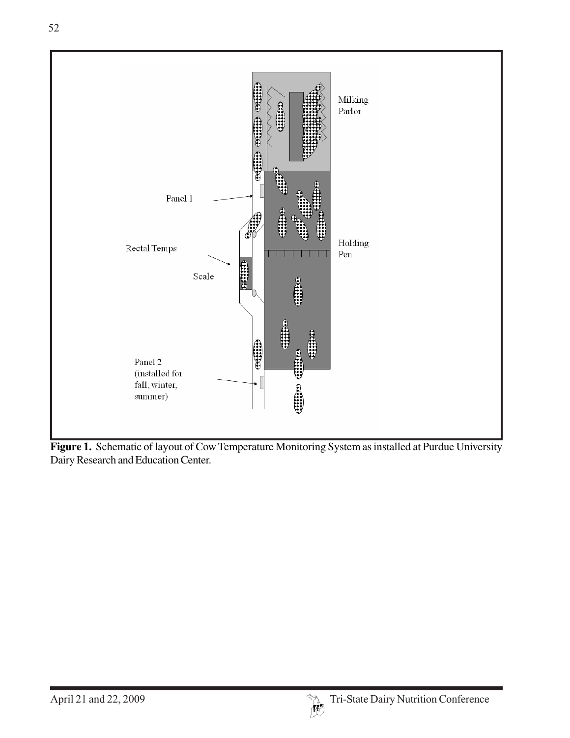

**Figure 1.** Schematic of layout of Cow Temperature Monitoring System as installed at Purdue University Dairy Research and Education Center.

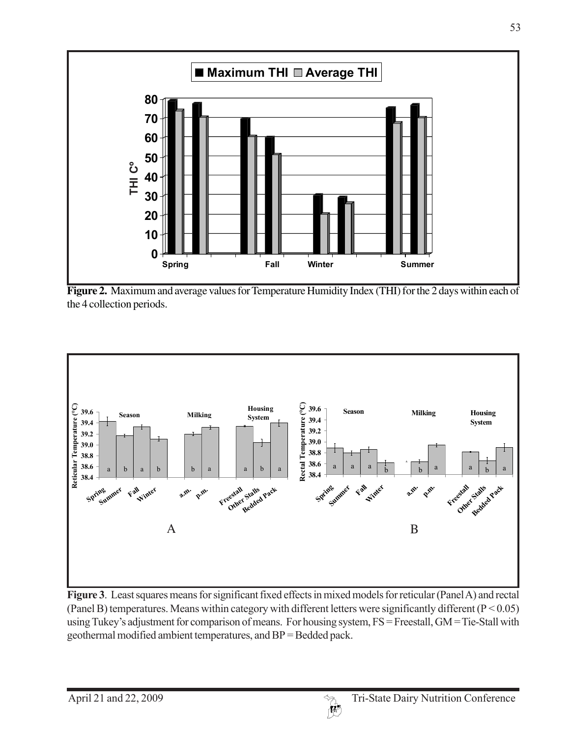

**Figure 2.** Maximum and average values for Temperature Humidity Index (THI) for the 2 days within each of the 4 collection periods.



**Figure 3**. Least squares means for significant fixed effects in mixed models for reticular (Panel A) and rectal (Panel B) temperatures. Means within category with different letters were significantly different ( $P < 0.05$ ) using Tukey's adjustment for comparison of means. For housing system, FS = Freestall, GM = Tie-Stall with geothermal modified ambient temperatures, and BP = Bedded pack.